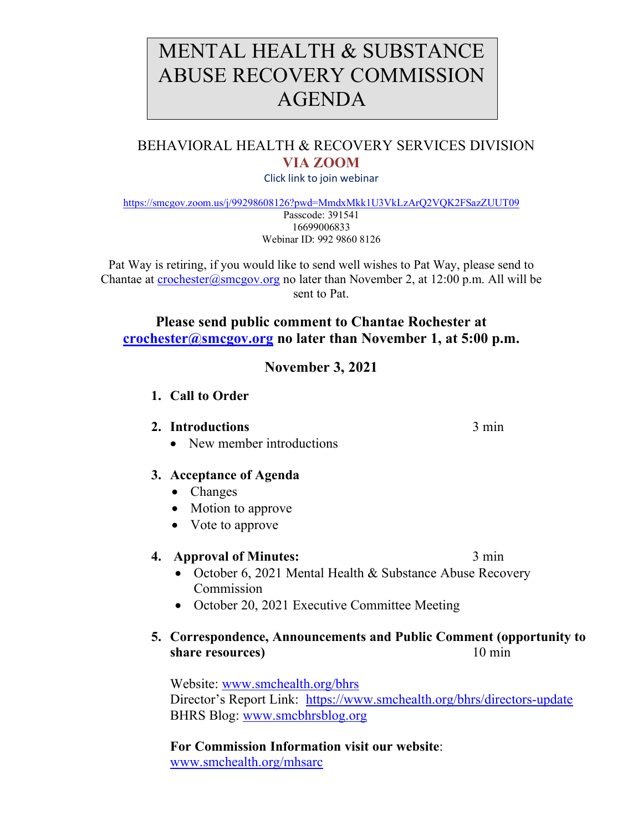# MENTAL HEALTH & SUBSTANCE ABUSE RECOVERY COMMISSION AGENDA

# BEHAVIORAL HEALTH & RECOVERY SERVICES DIVISION **VIA ZOOM**

Click link to join webinar

<https://smcgov.zoom.us/j/99298608126?pwd=MmdxMkk1U3VkLzArQ2VQK2FSazZUUT09> Passcode: 391541 16699006833

Webinar ID: 992 9860 8126

Pat Way is retiring, if you would like to send well wishes to Pat Way, please send to Chantae at [crochester@smcgov.org](mailto:crochester@smcgov.org) no later than November 2, at 12:00 p.m. All will be sent to Pat.

#### **Please send public comment to Chantae Rochester at [crochester@smcgov.org](mailto:crochester@smcgov.org) no later than November 1, at 5:00 p.m.**

# **November 3, 2021**

**1. Call to Order** 

#### **2. Introductions** 3 min

• New member introductions

## **3. Acceptance of Agenda**

- Changes
- Motion to approve
- Vote to approve

## **4. Approval of Minutes:** 3 min

- October 6, 2021 Mental Health & Substance Abuse Recovery Commission
- October 20, 2021 Executive Committee Meeting

## **5. Correspondence, Announcements and Public Comment (opportunity to share resources**) 10 min

Website: [www.smchealth.org/bhrs](http://www.smchealth.org/bhrs) Director's Report Link: <https://www.smchealth.org/bhrs/directors-update> BHRS Blog: [www.smcbhrsblog.org](http://www.smcbhrsblog.org/)

**For Commission Information visit our website**: [www.smchealth.org/mhsarc](http://www.smchealth.org/mhsarc)